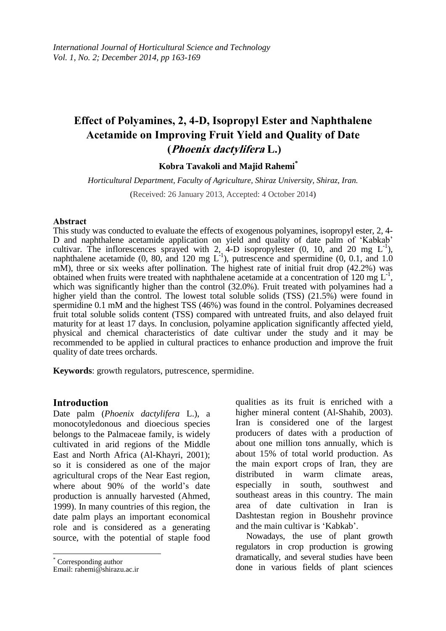# **Effect of Polyamines, 2, 4-D, Isopropyl Ester and Naphthalene Acetamide on Improving Fruit Yield and Quality of Date (Phoenix dactylifera L.)**

### **Kobra Tavakoli and Majid Rahemi\***

*Horticultural Department, Faculty of Agriculture, Shiraz University, Shiraz, Iran.*

(Received: 26 January 2013, Accepted: 4 October 2014)

#### **Abstract**

This study was conducted to evaluate the effects of exogenous polyamines, isopropyl ester, 2, 4- D and naphthalene acetamide application on yield and quality of date palm of 'Kabkab' cultivar. The inflorescences sprayed with 2, 4-D isopropylester  $(0, 10, \text{ and } 20 \text{ mg } L^{-1})$ , naphthalene acetamide  $(0, 80, \text{ and } 120 \text{ mg } L^{-1})$ , putrescence and spermidine  $(0, 0.1, \text{ and } 1.0)$ mM), three or six weeks after pollination. The highest rate of initial fruit drop (42.2%) was obtained when fruits were treated with naphthalene acetamide at a concentration of 120 mg  $L^{-1}$ , which was significantly higher than the control (32.0%). Fruit treated with polyamines had a higher yield than the control. The lowest total soluble solids (TSS) (21.5%) were found in spermidine 0.1 mM and the highest TSS (46%) was found in the control. Polyamines decreased fruit total soluble solids content (TSS) compared with untreated fruits, and also delayed fruit maturity for at least 17 days. In conclusion, polyamine application significantly affected yield, physical and chemical characteristics of date cultivar under the study and it may be recommended to be applied in cultural practices to enhance production and improve the fruit quality of date trees orchards.

**Keywords**: growth regulators, putrescence, spermidine.

### **Introduction**

Date palm (*Phoenix dactylifera* L.), a monocotyledonous and dioecious species belongs to the Palmaceae family, is widely cultivated in arid regions of the Middle East and North Africa (Al-Khayri, 2001); so it is considered as one of the major agricultural crops of the Near East region, where about 90% of the world's date production is annually harvested (Ahmed, 1999). In many countries of this region, the date palm plays an important economical role and is considered as a generating source, with the potential of staple food

 $\overline{a}$ 

qualities as its fruit is enriched with a higher mineral content (Al-Shahib, 2003). Iran is considered one of the largest producers of dates with a production of about one million tons annually, which is about 15% of total world production. As the main export crops of Iran, they are distributed in warm climate areas, especially in south, southwest and southeast areas in this country. The main area of date cultivation in Iran is Dashtestan region in Boushehr province and the main cultivar is 'Kabkab'.

Nowadays, the use of plant growth regulators in crop production is growing dramatically, and several studies have been done in various fields of plant sciences

<sup>\*</sup> Corresponding author

Email: rahemi@shirazu.ac.ir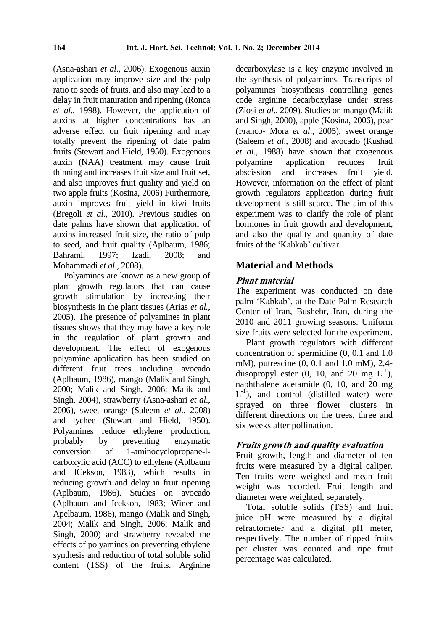(Asna-ashari *et al*., 2006). Exogenous auxin application may improve size and the pulp ratio to seeds of fruits, and also may lead to a delay in fruit maturation and ripening (Ronca *et al*., 1998). However, the application of auxins at higher concentrations has an adverse effect on fruit ripening and may totally prevent the ripening of date palm fruits (Stewart and Hield, 1950). Exogenous auxin (NAA) treatment may cause fruit thinning and increases fruit size and fruit set, and also improves fruit quality and yield on two apple fruits (Kosina, 2006) Furthermore, auxin improves fruit yield in kiwi fruits (Bregoli *et al*., 2010). Previous studies on date palms have shown that application of auxins increased fruit size, the ratio of pulp to seed, and fruit quality (Aplbaum, 1986; Bahrami, 1997; Izadi, 2008; and Mohammadi *et al*., 2008).

Polyamines are known as a new group of plant growth regulators that can cause growth stimulation by increasing their biosynthesis in the plant tissues (Arias *et al.*, 2005). The presence of polyamines in plant tissues shows that they may have a key role in the regulation of plant growth and development. The effect of exogenous polyamine application has been studied on different fruit trees including avocado (Aplbaum, 1986), mango (Malik and Singh, 2000; Malik and Singh, 2006; Malik and Singh, 2004), strawberry (Asna-ashari *et al*., 2006), sweet orange (Saleem *et al.*, 2008) and lychee (Stewart and Hield, 1950). Polyamines reduce ethylene production, probably by preventing enzymatic conversion of 1-aminocyclopropane-lcarboxylic acid (ACC) to ethylene (Aplbaum and ICekson, 1983), which results in reducing growth and delay in fruit ripening (Aplbaum, 1986). Studies on avocado (Aplbaum and Icekson, 1983; Winer and Apelbaum, 1986), mango (Malik and Singh, 2004; Malik and Singh, 2006; Malik and Singh, 2000) and strawberry revealed the effects of polyamines on preventing ethylene synthesis and reduction of total soluble solid content (TSS) of the fruits. Arginine

decarboxylase is a key enzyme involved in the synthesis of polyamines. Transcripts of polyamines biosynthesis controlling genes code arginine decarboxylase under stress (Ziosi *et al*., 2009). Studies on mango (Malik and Singh, 2000), apple (Kosina, 2006), pear (Franco- Mora *et al*., 2005), sweet orange (Saleem *et al*., 2008) and avocado (Kushad *et al*., 1988) have shown that exogenous polyamine application reduces fruit abscission and increases fruit yield. However, information on the effect of plant growth regulators application during fruit development is still scarce. The aim of this experiment was to clarify the role of plant hormones in fruit growth and development, and also the quality and quantity of date fruits of the 'Kabkab' cultivar.

# **Material and Methods**

### **Plant material**

The experiment was conducted on date palm 'Kabkab', at the Date Palm Research Center of Iran, Bushehr, Iran, during the 2010 and 2011 growing seasons. Uniform size fruits were selected for the experiment.

Plant growth regulators with different concentration of spermidine (0, 0.1 and 1.0 mM), putrescine (0, 0.1 and 1.0 mM), 2,4 diisopropyl ester  $(0, 10, \text{ and } 20 \text{ mg } L^{-1})$ , naphthalene acetamide (0, 10, and 20 mg  $L^{-1}$ ), and control (distilled water) were sprayed on three flower clusters in different directions on the trees, three and six weeks after pollination.

# **Fruits growth and quality evaluation**

Fruit growth, length and diameter of ten fruits were measured by a digital caliper. Ten fruits were weighed and mean fruit weight was recorded. Fruit length and diameter were weighted, separately.

Total soluble solids (TSS) and fruit juice pH were measured by a digital refractometer and a digital pH meter, respectively. The number of ripped fruits per cluster was counted and ripe fruit percentage was calculated.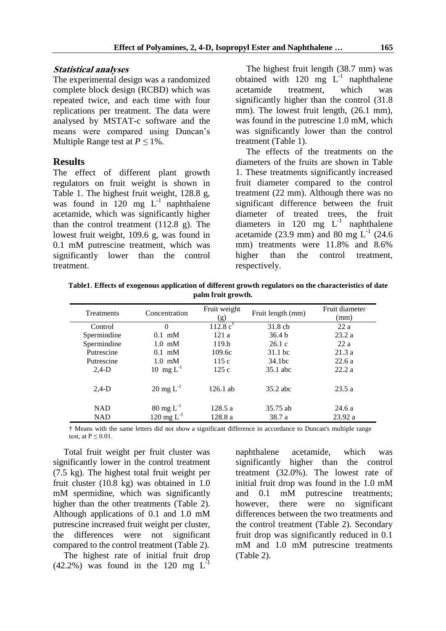### **Statistical analyses**

The experimental design was a randomized complete block design (RCBD) which was repeated twice, and each time with four replications per treatment. The data were analysed by MSTAT-c software and the means were compared using Duncan's Multiple Range test at  $P \leq 1\%$ .

### **Results**

The effect of different plant growth regulators on fruit weight is shown in Table 1. The highest fruit weight, 128.8 g, was found in  $120$  mg  $L^{-1}$  naphthalene acetamide, which was significantly higher than the control treatment (112.8 g). The lowest fruit weight, 109.6 g, was found in 0.1 mM putrescine treatment, which was significantly lower than the control treatment.

The highest fruit length (38.7 mm) was obtained with  $120$  mg  $L^{-1}$  naphthalene acetamide treatment, which was significantly higher than the control (31.8 mm). The lowest fruit length,  $(26.1 \text{ mm})$ , was found in the putrescine 1.0 mM, which was significantly lower than the control treatment (Table 1).

The effects of the treatments on the diameters of the fruits are shown in Table 1. These treatments significantly increased fruit diameter compared to the control treatment (22 mm). Although there was no significant difference between the fruit diameter of treated trees, the fruit diameters in 120 mg  $L^{-1}$  naphthalene acetamide (23.9 mm) and 80 mg  $L^{-1}$  (24.6) mm) treatments were 11.8% and 8.6% higher than the control treatment. respectively.

**Table1**. **Effects of exogenous application of different growth regulators on the characteristics of date palm fruit growth.** 

| <b>Treatments</b> | Concentration             | Fruit weight<br>(g) | Fruit length (mm)  | Fruit diameter<br>(mm) |
|-------------------|---------------------------|---------------------|--------------------|------------------------|
| Control           | $\theta$                  | $112.8 c^{\dagger}$ | $31.8$ cb          | 22a                    |
| Spermindine       | $0.1$ mM                  | 121a                | 36.4 <sub>b</sub>  | 23.2a                  |
| Spermindine       | $1.0 \text{ }\mathrm{mM}$ | 119.h               | 26.1c              | 22a                    |
| Putrescine        | $0.1$ mM                  | 109.6c              | 31.1 bc            | 21.3a                  |
| Putrescine        | $1.0 \text{ mM}$          | 115c                | 34.1 <sub>bc</sub> | 22.6a                  |
| $2.4-D$           | 10 mg $L^{-1}$            | 125c                | 35.1 abc           | 22.2a                  |
| $2.4-D$           | $20 \text{ mg } L^{-1}$   | $126.1$ ab          | $35.2$ abc         | 23.5a                  |
| <b>NAD</b>        | $80 \text{ mg } L^{-1}$   | 128.5a              | 35.75 ab           | 24.6a                  |
| <b>NAD</b>        | 120 mg $L^{-1}$           | 128.8 a             | 38.7 a             | 23.92a                 |

† Means with the same letters did not show a significant difference in accordance to Duncan's multiple range test, at  $P \leq 0.01$ .

Total fruit weight per fruit cluster was significantly lower in the control treatment (7.5 kg). The highest total fruit weight per fruit cluster (10.8 kg) was obtained in 1.0 mM spermidine, which was significantly higher than the other treatments (Table 2). Although applications of 0.1 and 1.0 mM putrescine increased fruit weight per cluster, the differences were not significant compared to the control treatment (Table 2).

The highest rate of initial fruit drop  $(42.2\%)$  was found in the 120 mg L<sup>-1</sup>

naphthalene acetamide, which was significantly higher than the control treatment (32.0%). The lowest rate of initial fruit drop was found in the 1.0 mM and 0.1 mM putrescine treatments; however, there were no significant differences between the two treatments and the control treatment (Table 2). Secondary fruit drop was significantly reduced in 0.1 mM and 1.0 mM putrescine treatments (Table 2).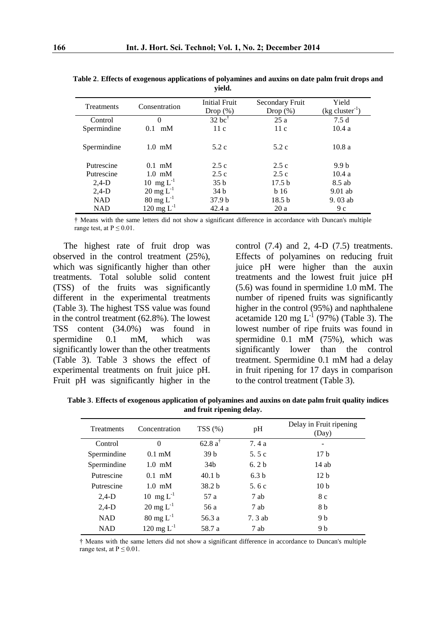| <b>Treatments</b> | Consentration           | <b>Initial Fruit</b><br>Drop $(\%)$ | Secondary Fruit<br>Drop $(\%)$ | Yield<br>$(kg cluster-1)$ |
|-------------------|-------------------------|-------------------------------------|--------------------------------|---------------------------|
| Control           |                         | $32$ bc <sup>†</sup>                | 25a                            | 7.5d                      |
| Spermindine       | mM<br>0.1               | 11c                                 | 11c                            | 10.4a                     |
| Spermindine       | $1.0 \text{ mM}$        | 5.2c                                | 5.2c                           | 10.8a                     |
| Putrescine        | $0.1$ mM                | 2.5c                                | 2.5c                           | 9.9 <sub>b</sub>          |
| Putrescine        | $1.0 \text{ mM}$        | 2.5c                                | 2.5c                           | 10.4a                     |
| $2,4-D$           | 10 mg $L^{-1}$          | 35 <sub>b</sub>                     | 17.5 <sub>b</sub>              | 8.5 ab                    |
| $2,4-D$           | $20 \text{ mg } L^{-1}$ | 34 b                                | b16                            | $9.01$ ab                 |
| <b>NAD</b>        | $80 \text{ mg } L^{-1}$ | 37.9 <sub>b</sub>                   | 18.5 <sub>b</sub>              | $9.03$ ab                 |
| <b>NAD</b>        | 120 mg $L^{-1}$         | 42.4a                               | 20a                            | 9c                        |

**Table 2**. **Effects of exogenous applications of polyamines and auxins on date palm fruit drops and yield.**

† Means with the same letters did not show a significant difference in accordance with Duncan's multiple range test, at  $P \le 0.01$ .

The highest rate of fruit drop was observed in the control treatment (25%), which was significantly higher than other treatments. Total soluble solid content (TSS) of the fruits was significantly different in the experimental treatments (Table 3). The highest TSS value was found in the control treatment (62.8%). The lowest TSS content (34.0%) was found in spermidine 0.1 mM, which was significantly lower than the other treatments (Table 3). Table 3 shows the effect of experimental treatments on fruit juice pH. Fruit pH was significantly higher in the

control  $(7.4)$  and 2, 4-D  $(7.5)$  treatments. Effects of polyamines on reducing fruit juice pH were higher than the auxin treatments and the lowest fruit juice pH (5.6) was found in spermidine 1.0 mM. The number of ripened fruits was significantly higher in the control (95%) and naphthalene acetamide 120 mg  $L^{-1}$  (97%) (Table 3). The lowest number of ripe fruits was found in spermidine 0.1 mM (75%), which was significantly lower than the control treatment. Spermidine 0.1 mM had a delay in fruit ripening for 17 days in comparison to the control treatment (Table 3).

**Table 3**. **Effects of exogenous application of polyamines and auxins on date palm fruit quality indices and fruit ripening delay.**

| Treatments  | Concentration           | TSS(%)            | pH               | Delay in Fruit ripening<br>(Day) |
|-------------|-------------------------|-------------------|------------------|----------------------------------|
| Control     | $\Omega$                | $62.8a^{\dagger}$ | 7.4a             |                                  |
| Spermindine | $0.1 \text{ mM}$        | 39 <sub>b</sub>   | 5.5 $c$          | 17 <sub>b</sub>                  |
| Spermindine | $1.0 \text{ mM}$        | 34b               | 6.2 <sub>b</sub> | $14$ ab                          |
| Putrescine  | $0.1$ mM                | 40.1 <sub>b</sub> | 6.3 <sub>b</sub> | 12 <sub>b</sub>                  |
| Putrescine  | $1.0 \text{ mM}$        | 38.2 <sub>b</sub> | 5.6c             | 10 <sub>b</sub>                  |
| $2,4-D$     | 10 mg $L^{-1}$          | 57 a              | 7 ab             | 8 c                              |
| $2,4-D$     | $20 \text{ mg } L^{-1}$ | 56 a              | 7 ab             | 8 b                              |
| <b>NAD</b>  | $80 \text{ mg } L^{-1}$ | 56.3 a            | 7.3 ab           | 9 b                              |
| <b>NAD</b>  | 120 mg $L^{-1}$         | 58.7 a            | 7 ab             | 9 b                              |

† Means with the same letters did not show a significant difference in accordance to Duncan's multiple range test, at  $P \leq 0.01$ .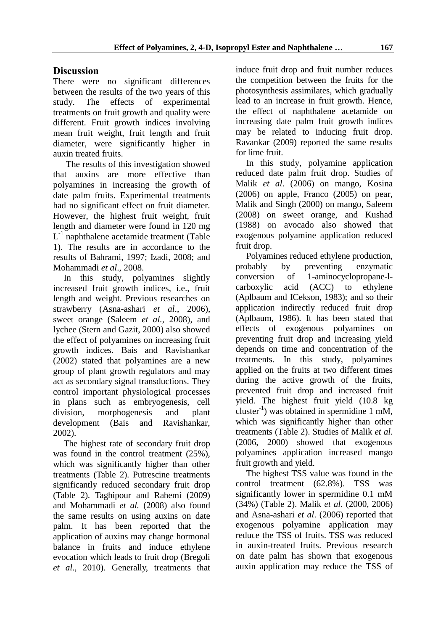# **Discussion**

There were no significant differences between the results of the two years of this study. The effects of experimental treatments on fruit growth and quality were different. Fruit growth indices involving mean fruit weight, fruit length and fruit diameter, were significantly higher in auxin treated fruits.

The results of this investigation showed that auxins are more effective than polyamines in increasing the growth of date palm fruits. Experimental treatments had no significant effect on fruit diameter. However, the highest fruit weight, fruit length and diameter were found in 120 mg L<sup>-1</sup> naphthalene acetamide treatment (Table 1). The results are in accordance to the results of Bahrami, 1997; Izadi, 2008; and Mohammadi *et al*., 2008.

In this study, polyamines slightly increased fruit growth indices, i.e., fruit length and weight. Previous researches on strawberry (Asna-ashari *et al*., 2006), sweet orange (Saleem *et al.,* 2008), and lychee (Stern and Gazit, 2000) also showed the effect of polyamines on increasing fruit growth indices. Bais and Ravishankar (2002) stated that polyamines are a new group of plant growth regulators and may act as secondary signal transductions. They control important physiological processes in plans such as embryogenesis, cell division, morphogenesis and plant development (Bais and Ravishankar, 2002).

The highest rate of secondary fruit drop was found in the control treatment (25%), which was significantly higher than other treatments (Table 2). Putrescine treatments significantly reduced secondary fruit drop (Table 2). Taghipour and Rahemi (2009) and Mohammadi *et al.* (2008) also found the same results on using auxins on date palm. It has been reported that the application of auxins may change hormonal balance in fruits and induce ethylene evocation which leads to fruit drop (Bregoli *et al*., 2010). Generally, treatments that induce fruit drop and fruit number reduces the competition between the fruits for the photosynthesis assimilates, which gradually lead to an increase in fruit growth. Hence, the effect of naphthalene acetamide on increasing date palm fruit growth indices may be related to inducing fruit drop. Ravankar (2009) reported the same results for lime fruit.

In this study, polyamine application reduced date palm fruit drop. Studies of Malik *et al*. (2006) on mango, Kosina (2006) on apple, Franco (2005) on pear, Malik and Singh (2000) on mango, Saleem (2008) on sweet orange, and Kushad (1988) on avocado also showed that exogenous polyamine application reduced fruit drop.

Polyamines reduced ethylene production, probably by preventing enzymatic conversion of 1-aminocyclopropane-lcarboxylic acid (ACC) to ethylene (Aplbaum and ICekson, 1983); and so their application indirectly reduced fruit drop (Aplbaum, 1986). It has been stated that effects of exogenous polyamines on preventing fruit drop and increasing yield depends on time and concentration of the treatments. In this study, polyamines applied on the fruits at two different times during the active growth of the fruits, prevented fruit drop and increased fruit yield. The highest fruit yield (10.8 kg cluster-1 ) was obtained in spermidine 1 mM, which was significantly higher than other treatments (Table 2). Studies of Malik *et al*. (2006, 2000) showed that exogenous polyamines application increased mango fruit growth and yield.

The highest TSS value was found in the control treatment (62.8%). TSS was significantly lower in spermidine 0.1 mM (34%) (Table 2). Malik *et al*. (2000, 2006) and Asna-ashari *et al*. (2006) reported that exogenous polyamine application may reduce the TSS of fruits. TSS was reduced in auxin-treated fruits. Previous research on date palm has shown that exogenous auxin application may reduce the TSS of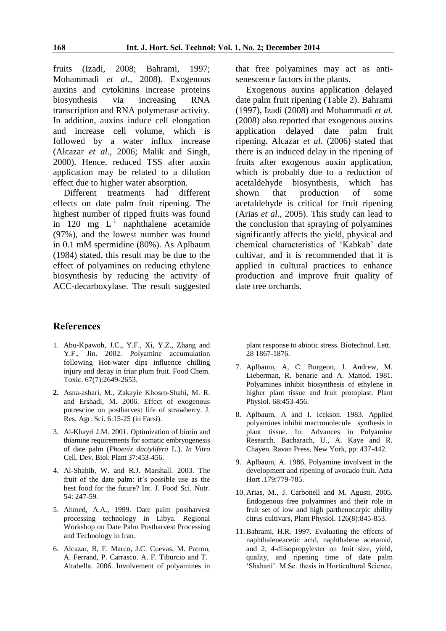fruits (Izadi, 2008; Bahrami, 1997; Mohammadi *et al*., 2008). Exogenous auxins and cytokinins increase proteins biosynthesis via increasing RNA transcription and RNA polymerase activity. In addition, auxins induce cell elongation and increase cell volume, which is followed by a water influx increase (Alcazar *et al*., 2006; Malik and Singh, 2000). Hence, reduced TSS after auxin application may be related to a dilution effect due to higher water absorption.

Different treatments had different effects on date palm fruit ripening. The highest number of ripped fruits was found in  $120$  mg  $L^{-1}$  naphthalene acetamide (97%), and the lowest number was found in 0.1 mM spermidine (80%). As Aplbaum (1984) stated, this result may be due to the effect of polyamines on reducing ethylene biosynthesis by reducing the activity of ACC-decarboxylase. The result suggested

### that free polyamines may act as antisenescence factors in the plants.

Exogenous auxins application delayed date palm fruit ripening (Table 2). Bahrami (1997), Izadi (2008) and Mohammadi *et al*. (2008) also reported that exogenous auxins application delayed date palm fruit ripening. Alcazar *et al*. (2006) stated that there is an induced delay in the ripening of fruits after exogenous auxin application, which is probably due to a reduction of acetaldehyde biosynthesis, which has shown that production of some acetaldehyde is critical for fruit ripening (Arias *et al*., 2005). This study can lead to the conclusion that spraying of polyamines significantly affects the yield, physical and chemical characteristics of 'Kabkab' date cultivar, and it is recommended that it is applied in cultural practices to enhance production and improve fruit quality of date tree orchards.

### **References**

- 1. Abu-Kpawoh, J.C., Y.F., Xi, Y.Z., Zhang and Y.F., Jin. 2002. Polyamine accumulation following Hot-water dips influence chilling injury and decay in friar plum fruit. Food Chem. Toxic. 67(7):2649-2653.
- **2.** Asna-ashari, M., Zakayie Khosro-Shahi, M. R. and Ershadi, M. 2006. Effect of exogenous putrescine on postharvest life of strawberry. J. Res. Agr. Sci. 6:15-25 (in Farsi).
- 3. Al-Khayri J.M. 2001. Optimization of biotin and thiamine requirements for somatic embryogenesis of date palm (*Phoenix dactylifera* L.). *In Vitro* Cell. Dev. Biol. Plant 37:453-456.
- 4. Al-Shahib, W. and R.J. Marshall. 2003. The fruit of the date palm: it's possible use as the best food for the future? Int. J. Food Sci. Nutr. 54: 247-59.
- 5. Ahmed, A.A., 1999. Date palm postharvest processing technology in Libya. Regional Workshop on Date Palm Postharvest Processing and Technology in Iran.
- 6. Alcazar, R, F. Marco, J.C. Cuevas, M. Patron, A. Ferrand, P. Carrasco. A. F. Tiburcio and T. Altabella. 2006. Involvement of polyamines in

plant response to abiotic stress. Biotechnol. Lett. 28 1867-1876.

- 7. Aplbaum, A, C. Burgeon, J. Andrew, M. Lieberman, R. benarie and A. Mattod. 1981. Polyamines inhibit biosynthesis of ethylene in higher plant tissue and fruit protoplast. Plant Physiol. 68:453-456.
- 8. Aplbaum, A and I. Icekson. 1983. Applied polyamines inhibit macromolecule synthesis in plant tissue. In: Advances in Polyamine Research. Bacharach, U., A. Kaye and R. Chayen. Ravan Press, New York, pp: 437-442.
- 9. Aplbaum, A. 1986. Polyamine involvent in the development and ripening of avocado fruit. Acta Hort .179:779-785.
- 10. Arias, M., J. Carbonell and M. Agusti. 2005. Endogenous free polyamines and their role in fruit set of low and high parthenocarpic ability citrus cultivars, Plant Physiol. 126(8):845-853.
- 11.Bahrami, H.R. 1997. Evaluating the effects of naphthaleneacetic acid, naphthalene acetamid, and 2, 4-diisopropylester on fruit size, yield, quality, and ripening time of date palm 'Shahani'. M.Sc. thesis in Horticultural Science,